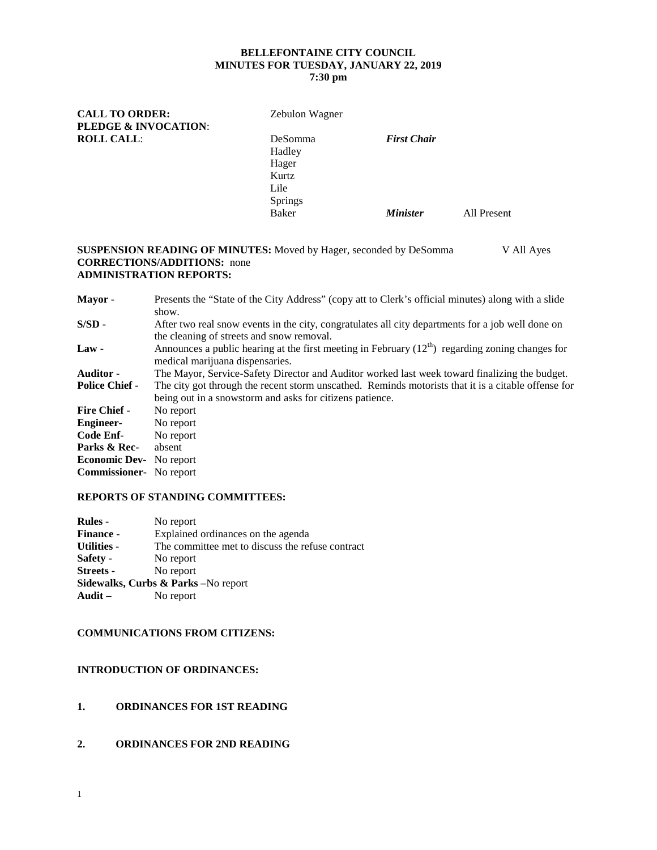# **BELLEFONTAINE CITY COUNCIL MINUTES FOR TUESDAY, JANUARY 22, 2019**

## **7:30 pm**

| <b>CALL TO ORDER:</b>           | Zebulon Wagner |                        |             |
|---------------------------------|----------------|------------------------|-------------|
| <b>PLEDGE &amp; INVOCATION:</b> |                |                        |             |
| <b>ROLL CALL:</b>               | <b>DeSomma</b> | <b>First Chair</b>     |             |
|                                 | Hadley         |                        |             |
|                                 | Hager          |                        |             |
|                                 | Kurtz          |                        |             |
|                                 | Lile           |                        |             |
|                                 | <b>Springs</b> |                        |             |
|                                 | Baker          | <i><b>Minister</b></i> | All Present |
|                                 |                |                        |             |

#### **SUSPENSION READING OF MINUTES:** Moved by Hager, seconded by DeSomma V All Ayes **CORRECTIONS/ADDITIONS:** none **ADMINISTRATION REPORTS:**

| Presents the "State of the City Address" (copy att to Clerk's official minutes) along with a slide<br>show.                                                     |
|-----------------------------------------------------------------------------------------------------------------------------------------------------------------|
| After two real snow events in the city, congratulates all city departments for a job well done on<br>the cleaning of streets and snow removal.                  |
| Announces a public hearing at the first meeting in February $(12th)$ regarding zoning changes for<br>medical marijuana dispensaries.                            |
| The Mayor, Service-Safety Director and Auditor worked last week toward finalizing the budget.                                                                   |
| The city got through the recent storm unscathed. Reminds motorists that it is a citable offense for<br>being out in a snowstorm and asks for citizens patience. |
| No report                                                                                                                                                       |
| No report                                                                                                                                                       |
| No report                                                                                                                                                       |
| absent                                                                                                                                                          |
| <b>Economic Dev-</b> No report                                                                                                                                  |
| <b>Commissioner-</b> No report                                                                                                                                  |
|                                                                                                                                                                 |

#### **REPORTS OF STANDING COMMITTEES:**

| <b>Rules</b> -                      | No report                                        |  |  |
|-------------------------------------|--------------------------------------------------|--|--|
| <b>Finance -</b>                    | Explained ordinances on the agenda               |  |  |
| <b>Utilities -</b>                  | The committee met to discuss the refuse contract |  |  |
| Safety -                            | No report                                        |  |  |
| <b>Streets -</b>                    | No report                                        |  |  |
| Sidewalks, Curbs & Parks -No report |                                                  |  |  |
| Audit $-$                           | No report                                        |  |  |
|                                     |                                                  |  |  |

#### **COMMUNICATIONS FROM CITIZENS:**

#### **INTRODUCTION OF ORDINANCES:**

- **1. ORDINANCES FOR 1ST READING**
- **2. ORDINANCES FOR 2ND READING**